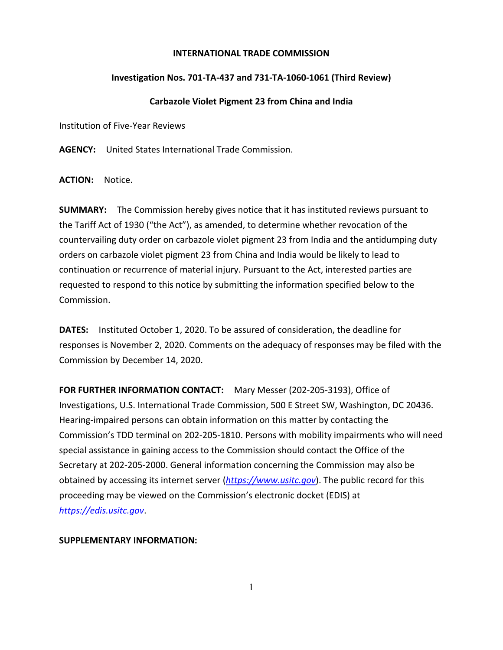## **INTERNATIONAL TRADE COMMISSION**

## **Investigation Nos. 701-TA-437 and 731-TA-1060-1061 (Third Review)**

## **Carbazole Violet Pigment 23 from China and India**

Institution of Five-Year Reviews

**AGENCY:** United States International Trade Commission.

**ACTION:** Notice.

**SUMMARY:** The Commission hereby gives notice that it has instituted reviews pursuant to the Tariff Act of 1930 ("the Act"), as amended, to determine whether revocation of the countervailing duty order on carbazole violet pigment 23 from India and the antidumping duty orders on carbazole violet pigment 23 from China and India would be likely to lead to continuation or recurrence of material injury. Pursuant to the Act, interested parties are requested to respond to this notice by submitting the information specified below to the Commission.

**DATES:** Instituted October 1, 2020. To be assured of consideration, the deadline for responses is November 2, 2020. Comments on the adequacy of responses may be filed with the Commission by December 14, 2020.

**FOR FURTHER INFORMATION CONTACT:** Mary Messer (202-205-3193), Office of Investigations, U.S. International Trade Commission, 500 E Street SW, Washington, DC 20436. Hearing-impaired persons can obtain information on this matter by contacting the Commission's TDD terminal on 202-205-1810. Persons with mobility impairments who will need special assistance in gaining access to the Commission should contact the Office of the Secretary at 202-205-2000. General information concerning the Commission may also be obtained by accessing its internet server (*[https://www.usitc.gov](https://www.usitc.gov/)*). The public record for this proceeding may be viewed on the Commission's electronic docket (EDIS) at *[https://edis.usitc.gov](https://edis.usitc.gov/)*.

**SUPPLEMENTARY INFORMATION:**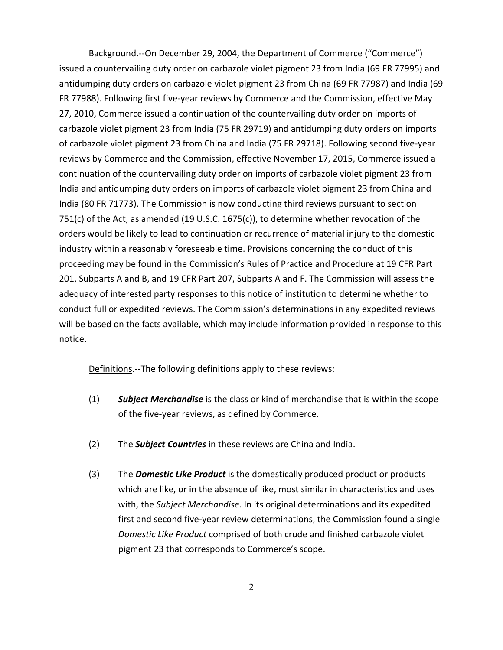Background.--On December 29, 2004, the Department of Commerce ("Commerce") issued a countervailing duty order on carbazole violet pigment 23 from India (69 FR 77995) and antidumping duty orders on carbazole violet pigment 23 from China (69 FR 77987) and India (69 FR 77988). Following first five-year reviews by Commerce and the Commission, effective May 27, 2010, Commerce issued a continuation of the countervailing duty order on imports of carbazole violet pigment 23 from India (75 FR 29719) and antidumping duty orders on imports of carbazole violet pigment 23 from China and India (75 FR 29718). Following second five-year reviews by Commerce and the Commission, effective November 17, 2015, Commerce issued a continuation of the countervailing duty order on imports of carbazole violet pigment 23 from India and antidumping duty orders on imports of carbazole violet pigment 23 from China and India (80 FR 71773). The Commission is now conducting third reviews pursuant to section 751(c) of the Act, as amended (19 U.S.C. 1675(c)), to determine whether revocation of the orders would be likely to lead to continuation or recurrence of material injury to the domestic industry within a reasonably foreseeable time. Provisions concerning the conduct of this proceeding may be found in the Commission's Rules of Practice and Procedure at 19 CFR Part 201, Subparts A and B, and 19 CFR Part 207, Subparts A and F. The Commission will assess the adequacy of interested party responses to this notice of institution to determine whether to conduct full or expedited reviews. The Commission's determinations in any expedited reviews will be based on the facts available, which may include information provided in response to this notice.

Definitions.--The following definitions apply to these reviews:

- (1) *Subject Merchandise* is the class or kind of merchandise that is within the scope of the five-year reviews, as defined by Commerce.
- (2) The *Subject Countries* in these reviews are China and India.
- (3) The *Domestic Like Product* is the domestically produced product or products which are like, or in the absence of like, most similar in characteristics and uses with, the *Subject Merchandise*. In its original determinations and its expedited first and second five-year review determinations, the Commission found a single *Domestic Like Product* comprised of both crude and finished carbazole violet pigment 23 that corresponds to Commerce's scope.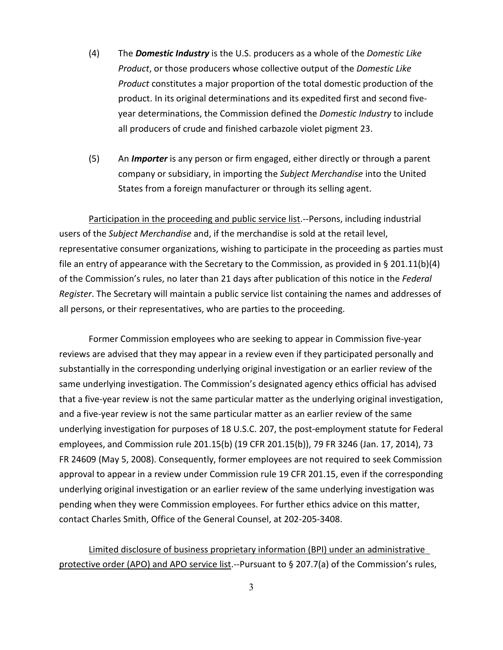- (4) The *Domestic Industry* is the U.S. producers as a whole of the *Domestic Like Product*, or those producers whose collective output of the *Domestic Like Product* constitutes a major proportion of the total domestic production of the product. In its original determinations and its expedited first and second fiveyear determinations, the Commission defined the *Domestic Industry* to include all producers of crude and finished carbazole violet pigment 23.
- (5) An *Importer* is any person or firm engaged, either directly or through a parent company or subsidiary, in importing the *Subject Merchandise* into the United States from a foreign manufacturer or through its selling agent.

Participation in the proceeding and public service list.--Persons, including industrial users of the *Subject Merchandise* and, if the merchandise is sold at the retail level, representative consumer organizations, wishing to participate in the proceeding as parties must file an entry of appearance with the Secretary to the Commission, as provided in § 201.11(b)(4) of the Commission's rules, no later than 21 days after publication of this notice in the *Federal Register*. The Secretary will maintain a public service list containing the names and addresses of all persons, or their representatives, who are parties to the proceeding.

Former Commission employees who are seeking to appear in Commission five-year reviews are advised that they may appear in a review even if they participated personally and substantially in the corresponding underlying original investigation or an earlier review of the same underlying investigation. The Commission's designated agency ethics official has advised that a five-year review is not the same particular matter as the underlying original investigation, and a five-year review is not the same particular matter as an earlier review of the same underlying investigation for purposes of 18 U.S.C. 207, the post-employment statute for Federal employees, and Commission rule 201.15(b) (19 CFR 201.15(b)), 79 FR 3246 (Jan. 17, 2014), 73 FR 24609 (May 5, 2008). Consequently, former employees are not required to seek Commission approval to appear in a review under Commission rule 19 CFR 201.15, even if the corresponding underlying original investigation or an earlier review of the same underlying investigation was pending when they were Commission employees. For further ethics advice on this matter, contact Charles Smith, Office of the General Counsel, at 202-205-3408.

Limited disclosure of business proprietary information (BPI) under an administrative protective order (APO) and APO service list.--Pursuant to § 207.7(a) of the Commission's rules,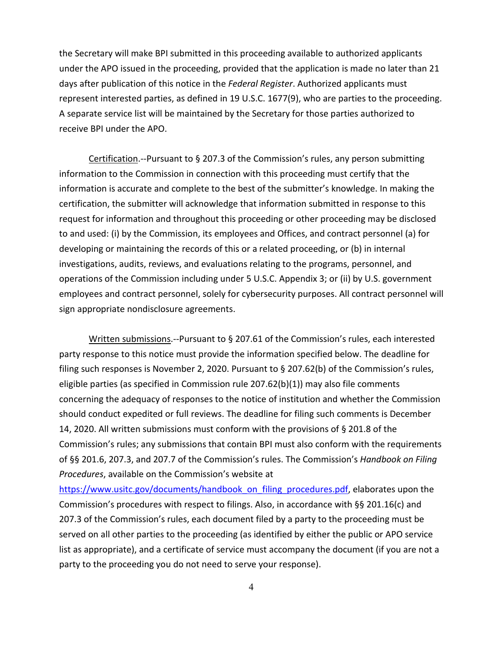the Secretary will make BPI submitted in this proceeding available to authorized applicants under the APO issued in the proceeding, provided that the application is made no later than 21 days after publication of this notice in the *Federal Register*. Authorized applicants must represent interested parties, as defined in 19 U.S.C. 1677(9), who are parties to the proceeding. A separate service list will be maintained by the Secretary for those parties authorized to receive BPI under the APO.

Certification.--Pursuant to § 207.3 of the Commission's rules, any person submitting information to the Commission in connection with this proceeding must certify that the information is accurate and complete to the best of the submitter's knowledge. In making the certification, the submitter will acknowledge that information submitted in response to this request for information and throughout this proceeding or other proceeding may be disclosed to and used: (i) by the Commission, its employees and Offices, and contract personnel (a) for developing or maintaining the records of this or a related proceeding, or (b) in internal investigations, audits, reviews, and evaluations relating to the programs, personnel, and operations of the Commission including under 5 U.S.C. Appendix 3; or (ii) by U.S. government employees and contract personnel, solely for cybersecurity purposes. All contract personnel will sign appropriate nondisclosure agreements.

Written submissions.--Pursuant to § 207.61 of the Commission's rules, each interested party response to this notice must provide the information specified below. The deadline for filing such responses is November 2, 2020. Pursuant to § 207.62(b) of the Commission's rules, eligible parties (as specified in Commission rule 207.62(b)(1)) may also file comments concerning the adequacy of responses to the notice of institution and whether the Commission should conduct expedited or full reviews. The deadline for filing such comments is December 14, 2020. All written submissions must conform with the provisions of § 201.8 of the Commission's rules; any submissions that contain BPI must also conform with the requirements of §§ 201.6, 207.3, and 207.7 of the Commission's rules. The Commission's *Handbook on Filing Procedures*, available on the Commission's website at

[https://www.usitc.gov/documents/handbook\\_on\\_filing\\_procedures.pdf,](https://www.usitc.gov/documents/handbook_on_filing_procedures.pdf) elaborates upon the Commission's procedures with respect to filings. Also, in accordance with §§ 201.16(c) and 207.3 of the Commission's rules, each document filed by a party to the proceeding must be served on all other parties to the proceeding (as identified by either the public or APO service list as appropriate), and a certificate of service must accompany the document (if you are not a party to the proceeding you do not need to serve your response).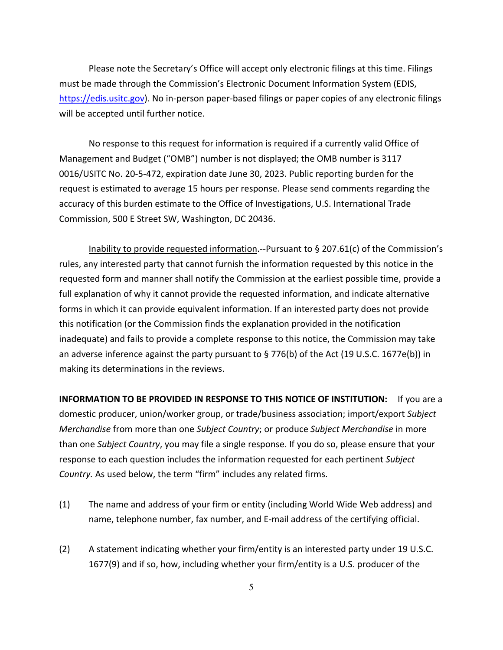Please note the Secretary's Office will accept only electronic filings at this time. Filings must be made through the Commission's Electronic Document Information System (EDIS, [https://edis.usitc.gov\)](https://edis.usitc.gov/). No in-person paper-based filings or paper copies of any electronic filings will be accepted until further notice.

No response to this request for information is required if a currently valid Office of Management and Budget ("OMB") number is not displayed; the OMB number is 3117 0016/USITC No. 20-5-472, expiration date June 30, 2023. Public reporting burden for the request is estimated to average 15 hours per response. Please send comments regarding the accuracy of this burden estimate to the Office of Investigations, U.S. International Trade Commission, 500 E Street SW, Washington, DC 20436.

Inability to provide requested information.--Pursuant to § 207.61(c) of the Commission's rules, any interested party that cannot furnish the information requested by this notice in the requested form and manner shall notify the Commission at the earliest possible time, provide a full explanation of why it cannot provide the requested information, and indicate alternative forms in which it can provide equivalent information. If an interested party does not provide this notification (or the Commission finds the explanation provided in the notification inadequate) and fails to provide a complete response to this notice, the Commission may take an adverse inference against the party pursuant to § 776(b) of the Act (19 U.S.C. 1677e(b)) in making its determinations in the reviews.

**INFORMATION TO BE PROVIDED IN RESPONSE TO THIS NOTICE OF INSTITUTION:** If you are a domestic producer, union/worker group, or trade/business association; import/export *Subject Merchandise* from more than one *Subject Country*; or produce *Subject Merchandise* in more than one *Subject Country*, you may file a single response. If you do so, please ensure that your response to each question includes the information requested for each pertinent *Subject Country.* As used below, the term "firm" includes any related firms.

- (1) The name and address of your firm or entity (including World Wide Web address) and name, telephone number, fax number, and E-mail address of the certifying official.
- (2) A statement indicating whether your firm/entity is an interested party under 19 U.S.C. 1677(9) and if so, how, including whether your firm/entity is a U.S. producer of the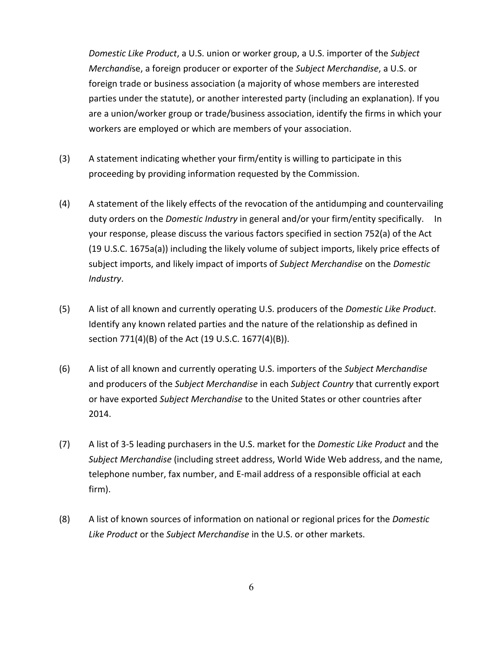*Domestic Like Product*, a U.S. union or worker group, a U.S. importer of the *Subject Merchandi*se, a foreign producer or exporter of the *Subject Merchandise*, a U.S. or foreign trade or business association (a majority of whose members are interested parties under the statute), or another interested party (including an explanation). If you are a union/worker group or trade/business association, identify the firms in which your workers are employed or which are members of your association.

- (3) A statement indicating whether your firm/entity is willing to participate in this proceeding by providing information requested by the Commission.
- (4) A statement of the likely effects of the revocation of the antidumping and countervailing duty orders on the *Domestic Industry* in general and/or your firm/entity specifically. In your response, please discuss the various factors specified in section 752(a) of the Act (19 U.S.C. 1675a(a)) including the likely volume of subject imports, likely price effects of subject imports, and likely impact of imports of *Subject Merchandise* on the *Domestic Industry*.
- (5) A list of all known and currently operating U.S. producers of the *Domestic Like Product*. Identify any known related parties and the nature of the relationship as defined in section 771(4)(B) of the Act (19 U.S.C. 1677(4)(B)).
- (6) A list of all known and currently operating U.S. importers of the *Subject Merchandise* and producers of the *Subject Merchandise* in each *Subject Country* that currently export or have exported *Subject Merchandise* to the United States or other countries after 2014.
- (7) A list of 3-5 leading purchasers in the U.S. market for the *Domestic Like Product* and the *Subject Merchandise* (including street address, World Wide Web address, and the name, telephone number, fax number, and E-mail address of a responsible official at each firm).
- (8) A list of known sources of information on national or regional prices for the *Domestic Like Product* or the *Subject Merchandise* in the U.S. or other markets.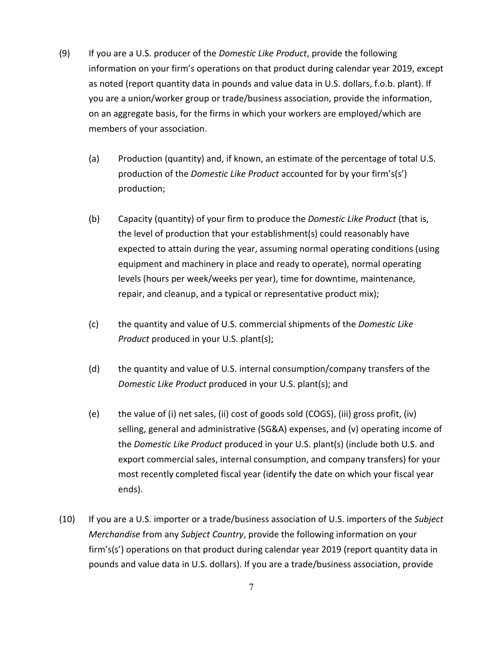- (9) If you are a U.S. producer of the *Domestic Like Product*, provide the following information on your firm's operations on that product during calendar year 2019, except as noted (report quantity data in pounds and value data in U.S. dollars, f.o.b. plant). If you are a union/worker group or trade/business association, provide the information, on an aggregate basis, for the firms in which your workers are employed/which are members of your association.
	- (a) Production (quantity) and, if known, an estimate of the percentage of total U.S. production of the *Domestic Like Product* accounted for by your firm's(s') production;
	- (b) Capacity (quantity) of your firm to produce the *Domestic Like Product* (that is, the level of production that your establishment(s) could reasonably have expected to attain during the year, assuming normal operating conditions (using equipment and machinery in place and ready to operate), normal operating levels (hours per week/weeks per year), time for downtime, maintenance, repair, and cleanup, and a typical or representative product mix);
	- (c) the quantity and value of U.S. commercial shipments of the *Domestic Like Product* produced in your U.S. plant(s);
	- (d) the quantity and value of U.S. internal consumption/company transfers of the *Domestic Like Product* produced in your U.S. plant(s); and
	- (e) the value of (i) net sales, (ii) cost of goods sold (COGS), (iii) gross profit, (iv) selling, general and administrative (SG&A) expenses, and (v) operating income of the *Domestic Like Product* produced in your U.S. plant(s) (include both U.S. and export commercial sales, internal consumption, and company transfers) for your most recently completed fiscal year (identify the date on which your fiscal year ends).
- (10) If you are a U.S. importer or a trade/business association of U.S. importers of the *Subject Merchandise* from any *Subject Country*, provide the following information on your firm's(s') operations on that product during calendar year 2019 (report quantity data in pounds and value data in U.S. dollars). If you are a trade/business association, provide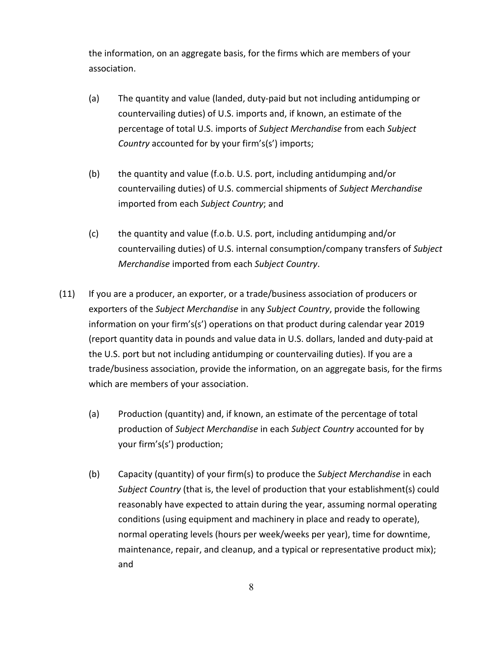the information, on an aggregate basis, for the firms which are members of your association.

- (a) The quantity and value (landed, duty-paid but not including antidumping or countervailing duties) of U.S. imports and, if known, an estimate of the percentage of total U.S. imports of *Subject Merchandise* from each *Subject Country* accounted for by your firm's(s') imports;
- (b) the quantity and value (f.o.b. U.S. port, including antidumping and/or countervailing duties) of U.S. commercial shipments of *Subject Merchandise* imported from each *Subject Country*; and
- (c) the quantity and value (f.o.b. U.S. port, including antidumping and/or countervailing duties) of U.S. internal consumption/company transfers of *Subject Merchandise* imported from each *Subject Country*.
- (11) If you are a producer, an exporter, or a trade/business association of producers or exporters of the *Subject Merchandise* in any *Subject Country*, provide the following information on your firm's(s') operations on that product during calendar year 2019 (report quantity data in pounds and value data in U.S. dollars, landed and duty-paid at the U.S. port but not including antidumping or countervailing duties). If you are a trade/business association, provide the information, on an aggregate basis, for the firms which are members of your association.
	- (a) Production (quantity) and, if known, an estimate of the percentage of total production of *Subject Merchandise* in each *Subject Country* accounted for by your firm's(s') production;
	- (b) Capacity (quantity) of your firm(s) to produce the *Subject Merchandise* in each *Subject Country* (that is, the level of production that your establishment(s) could reasonably have expected to attain during the year, assuming normal operating conditions (using equipment and machinery in place and ready to operate), normal operating levels (hours per week/weeks per year), time for downtime, maintenance, repair, and cleanup, and a typical or representative product mix); and